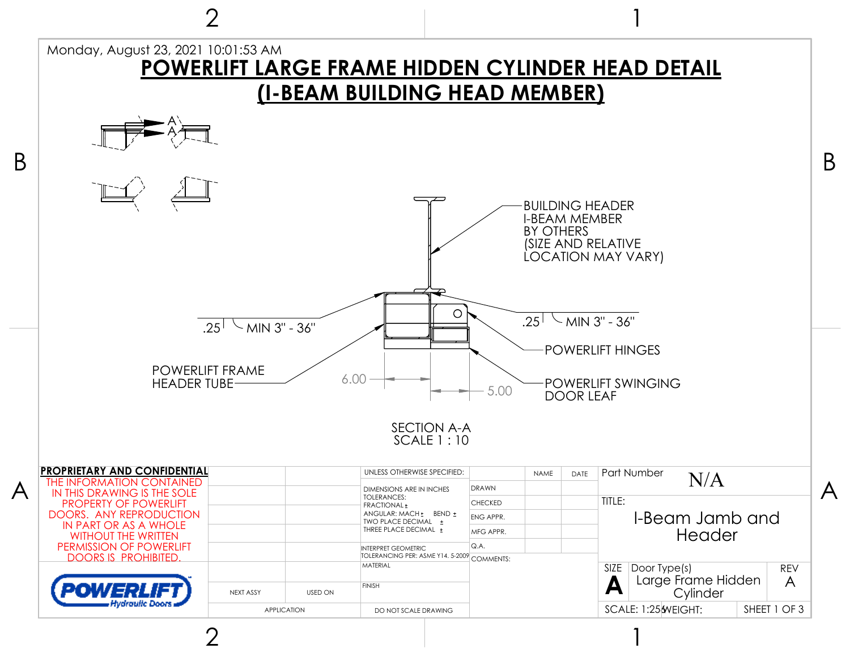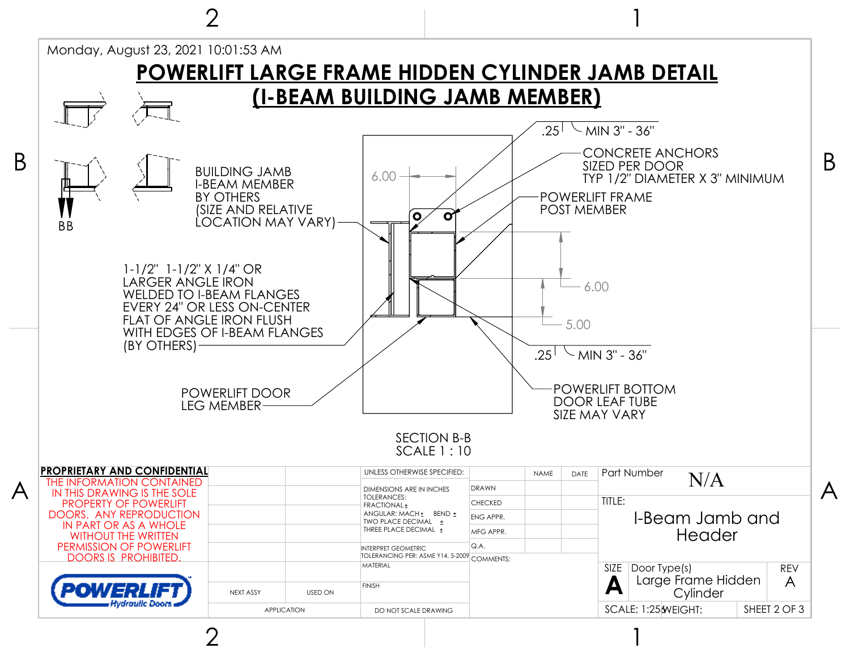